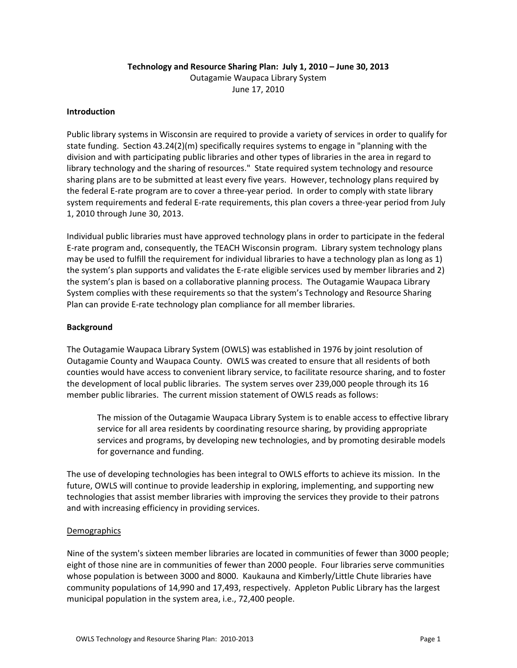## **Technology and Resource Sharing Plan: July 1, 2010 – June 30, 2013** Outagamie Waupaca Library System June 17, 2010

#### **Introduction**

Public library systems in Wisconsin are required to provide a variety of services in order to qualify for state funding. Section 43.24(2)(m) specifically requires systems to engage in "planning with the division and with participating public libraries and other types of libraries in the area in regard to library technology and the sharing of resources." State required system technology and resource sharing plans are to be submitted at least every five years. However, technology plans required by the federal E‐rate program are to cover a three‐year period. In order to comply with state library system requirements and federal E-rate requirements, this plan covers a three-year period from July 1, 2010 through June 30, 2013.

Individual public libraries must have approved technology plans in order to participate in the federal E‐rate program and, consequently, the TEACH Wisconsin program. Library system technology plans may be used to fulfill the requirement for individual libraries to have a technology plan as long as 1) the system's plan supports and validates the E-rate eligible services used by member libraries and 2) the system's plan is based on a collaborative planning process. The Outagamie Waupaca Library System complies with these requirements so that the system's Technology and Resource Sharing Plan can provide E‐rate technology plan compliance for all member libraries.

#### **Background**

The Outagamie Waupaca Library System (OWLS) was established in 1976 by joint resolution of Outagamie County and Waupaca County. OWLS was created to ensure that all residents of both counties would have access to convenient library service, to facilitate resource sharing, and to foster the development of local public libraries. The system serves over 239,000 people through its 16 member public libraries. The current mission statement of OWLS reads as follows:

The mission of the Outagamie Waupaca Library System is to enable access to effective library service for all area residents by coordinating resource sharing, by providing appropriate services and programs, by developing new technologies, and by promoting desirable models for governance and funding.

The use of developing technologies has been integral to OWLS efforts to achieve its mission. In the future, OWLS will continue to provide leadership in exploring, implementing, and supporting new technologies that assist member libraries with improving the services they provide to their patrons and with increasing efficiency in providing services.

#### **Demographics**

Nine of the system's sixteen member libraries are located in communities of fewer than 3000 people; eight of those nine are in communities of fewer than 2000 people. Four libraries serve communities whose population is between 3000 and 8000. Kaukauna and Kimberly/Little Chute libraries have community populations of 14,990 and 17,493, respectively. Appleton Public Library has the largest municipal population in the system area, i.e., 72,400 people.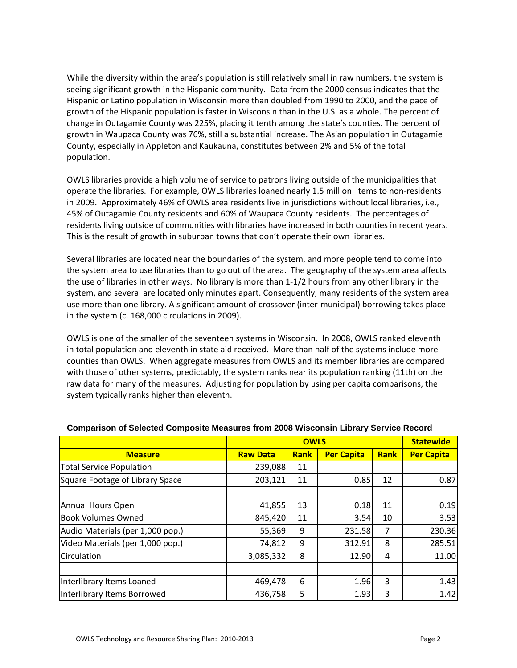While the diversity within the area's population is still relatively small in raw numbers, the system is seeing significant growth in the Hispanic community. Data from the 2000 census indicates that the Hispanic or Latino population in Wisconsin more than doubled from 1990 to 2000, and the pace of growth of the Hispanic population is faster in Wisconsin than in the U.S. as a whole. The percent of change in Outagamie County was 225%, placing it tenth among the state's counties. The percent of growth in Waupaca County was 76%, still a substantial increase. The Asian population in Outagamie County, especially in Appleton and Kaukauna, constitutes between 2% and 5% of the total population.

OWLS libraries provide a high volume of service to patrons living outside of the municipalities that operate the libraries. For example, OWLS libraries loaned nearly 1.5 million items to non‐residents in 2009. Approximately 46% of OWLS area residents live in jurisdictions without local libraries, i.e., 45% of Outagamie County residents and 60% of Waupaca County residents. The percentages of residents living outside of communities with libraries have increased in both counties in recent years. This is the result of growth in suburban towns that don't operate their own libraries.

Several libraries are located near the boundaries of the system, and more people tend to come into the system area to use libraries than to go out of the area. The geography of the system area affects the use of libraries in other ways. No library is more than 1‐1/2 hours from any other library in the system, and several are located only minutes apart. Consequently, many residents of the system area use more than one library. A significant amount of crossover (inter-municipal) borrowing takes place in the system (c. 168,000 circulations in 2009).

OWLS is one of the smaller of the seventeen systems in Wisconsin. In 2008, OWLS ranked eleventh in total population and eleventh in state aid received. More than half of the systems include more counties than OWLS. When aggregate measures from OWLS and its member libraries are compared with those of other systems, predictably, the system ranks near its population ranking (11th) on the raw data for many of the measures. Adjusting for population by using per capita comparisons, the system typically ranks higher than eleventh.

|                                  |                 | <b>Statewide</b> |                   |             |                   |
|----------------------------------|-----------------|------------------|-------------------|-------------|-------------------|
| <b>Measure</b>                   | <b>Raw Data</b> | <b>Rank</b>      | <b>Per Capita</b> | <b>Rank</b> | <b>Per Capita</b> |
| <b>Total Service Population</b>  | 239,088         | 11               |                   |             |                   |
| Square Footage of Library Space  | 203,121         | 11               | 0.85              | 12          | 0.87              |
|                                  |                 |                  |                   |             |                   |
| Annual Hours Open                | 41,855          | 13               | 0.18              | 11          | 0.19              |
| <b>Book Volumes Owned</b>        | 845,420         | 11               | 3.54              | 10          | 3.53              |
| Audio Materials (per 1,000 pop.) | 55,369          | 9                | 231.58            | 7           | 230.36            |
| Video Materials (per 1,000 pop.) | 74,812          | 9                | 312.91            | 8           | 285.51            |
| Circulation                      | 3,085,332       | 8                | 12.90             | 4           | 11.00             |
|                                  |                 |                  |                   |             |                   |
| Interlibrary Items Loaned        | 469,478         | 6                | 1.96              | 3           | 1.43              |
| Interlibrary Items Borrowed      | 436,758         | 5                | 1.93              | 3           | 1.42              |

#### **Comparison of Selected Composite Measures from 2008 Wisconsin Library Service Record**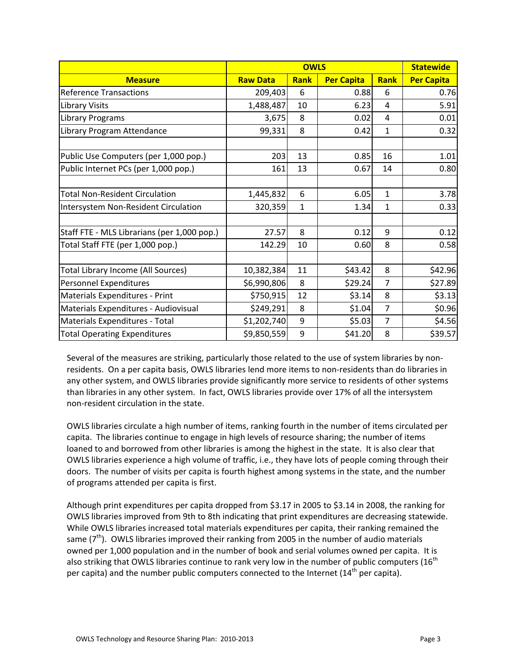|                                             |                 | <b>Statewide</b> |                   |                |                   |
|---------------------------------------------|-----------------|------------------|-------------------|----------------|-------------------|
| <b>Measure</b>                              | <b>Raw Data</b> | Rank             | <b>Per Capita</b> | Rank           | <b>Per Capita</b> |
| <b>Reference Transactions</b>               | 209,403         | 6                | 0.88              | 6              | 0.76              |
| <b>Library Visits</b>                       | 1,488,487       | 10               | 6.23              | 4              | 5.91              |
| Library Programs                            | 3,675           | 8                | 0.02              | 4              | 0.01              |
| Library Program Attendance                  | 99,331          | 8                | 0.42              | $\mathbf{1}$   | 0.32              |
| Public Use Computers (per 1,000 pop.)       | 203             | 13               | 0.85              | 16             | 1.01              |
| Public Internet PCs (per 1,000 pop.)        | 161             | 13               | 0.67              | 14             | 0.80              |
| <b>Total Non-Resident Circulation</b>       | 1,445,832       | 6                | 6.05              | $\mathbf{1}$   | 3.78              |
| Intersystem Non-Resident Circulation        | 320,359         | $\mathbf{1}$     | 1.34              | $\mathbf{1}$   | 0.33              |
| Staff FTE - MLS Librarians (per 1,000 pop.) | 27.57           | 8                | 0.12              | 9              | 0.12              |
| Total Staff FTE (per 1,000 pop.)            | 142.29          | 10               | 0.60              | 8              | 0.58              |
| Total Library Income (All Sources)          | 10,382,384      | 11               | \$43.42           | 8              | \$42.96           |
| Personnel Expenditures                      | \$6,990,806     | 8                | \$29.24           | 7              | \$27.89           |
| Materials Expenditures - Print              | \$750,915       | 12               | \$3.14            | 8              | \$3.13            |
| Materials Expenditures - Audiovisual        | \$249,291       | 8                | \$1.04            | $\overline{7}$ | \$0.96            |
| Materials Expenditures - Total              | \$1,202,740     | 9                | \$5.03            | $\overline{7}$ | \$4.56            |
| <b>Total Operating Expenditures</b>         | \$9,850,559     | 9                | \$41.20           | 8              | \$39.57           |

Several of the measures are striking, particularly those related to the use of system libraries by non‐ residents. On a per capita basis, OWLS libraries lend more items to non-residents than do libraries in any other system, and OWLS libraries provide significantly more service to residents of other systems than libraries in any other system. In fact, OWLS libraries provide over 17% of all the intersystem non‐resident circulation in the state.

OWLS libraries circulate a high number of items, ranking fourth in the number of items circulated per capita. The libraries continue to engage in high levels of resource sharing; the number of items loaned to and borrowed from other libraries is among the highest in the state. It is also clear that OWLS libraries experience a high volume of traffic, i.e., they have lots of people coming through their doors. The number of visits per capita is fourth highest among systems in the state, and the number of programs attended per capita is first.

Although print expenditures per capita dropped from \$3.17 in 2005 to \$3.14 in 2008, the ranking for OWLS libraries improved from 9th to 8th indicating that print expenditures are decreasing statewide. While OWLS libraries increased total materials expenditures per capita, their ranking remained the same  $(7<sup>th</sup>)$ . OWLS libraries improved their ranking from 2005 in the number of audio materials owned per 1,000 population and in the number of book and serial volumes owned per capita. It is also striking that OWLS libraries continue to rank very low in the number of public computers ( $16<sup>th</sup>$ per capita) and the number public computers connected to the Internet ( $14<sup>th</sup>$  per capita).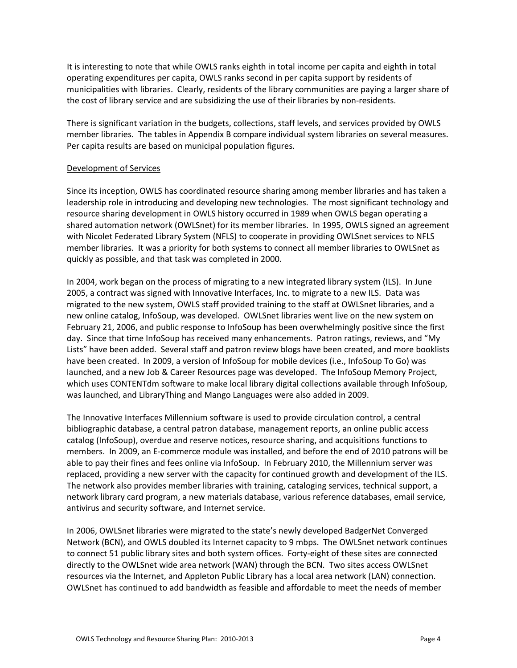It is interesting to note that while OWLS ranks eighth in total income per capita and eighth in total operating expenditures per capita, OWLS ranks second in per capita support by residents of municipalities with libraries. Clearly, residents of the library communities are paying a larger share of the cost of library service and are subsidizing the use of their libraries by non-residents.

There is significant variation in the budgets, collections, staff levels, and services provided by OWLS member libraries. The tables in Appendix B compare individual system libraries on several measures. Per capita results are based on municipal population figures.

## Development of Services

Since its inception, OWLS has coordinated resource sharing among member libraries and has taken a leadership role in introducing and developing new technologies. The most significant technology and resource sharing development in OWLS history occurred in 1989 when OWLS began operating a shared automation network (OWLSnet) for its member libraries. In 1995, OWLS signed an agreement with Nicolet Federated Library System (NFLS) to cooperate in providing OWLSnet services to NFLS member libraries. It was a priority for both systems to connect all member libraries to OWLSnet as quickly as possible, and that task was completed in 2000.

In 2004, work began on the process of migrating to a new integrated library system (ILS). In June 2005, a contract was signed with Innovative Interfaces, Inc. to migrate to a new ILS. Data was migrated to the new system, OWLS staff provided training to the staff at OWLSnet libraries, and a new online catalog, InfoSoup, was developed. OWLSnet libraries went live on the new system on February 21, 2006, and public response to InfoSoup has been overwhelmingly positive since the first day. Since that time InfoSoup has received many enhancements. Patron ratings, reviews, and "My Lists" have been added. Several staff and patron review blogs have been created, and more booklists have been created. In 2009, a version of InfoSoup for mobile devices (i.e., InfoSoup To Go) was launched, and a new Job & Career Resources page was developed. The InfoSoup Memory Project, which uses CONTENTdm software to make local library digital collections available through InfoSoup, was launched, and LibraryThing and Mango Languages were also added in 2009.

The Innovative Interfaces Millennium software is used to provide circulation control, a central bibliographic database, a central patron database, management reports, an online public access catalog (InfoSoup), overdue and reserve notices, resource sharing, and acquisitions functions to members. In 2009, an E‐commerce module was installed, and before the end of 2010 patrons will be able to pay their fines and fees online via InfoSoup. In February 2010, the Millennium server was replaced, providing a new server with the capacity for continued growth and development of the ILS. The network also provides member libraries with training, cataloging services, technical support, a network library card program, a new materials database, various reference databases, email service, antivirus and security software, and Internet service.

In 2006, OWLSnet libraries were migrated to the state's newly developed BadgerNet Converged Network (BCN), and OWLS doubled its Internet capacity to 9 mbps. The OWLSnet network continues to connect 51 public library sites and both system offices. Forty-eight of these sites are connected directly to the OWLSnet wide area network (WAN) through the BCN. Two sites access OWLSnet resources via the Internet, and Appleton Public Library has a local area network (LAN) connection. OWLSnet has continued to add bandwidth as feasible and affordable to meet the needs of member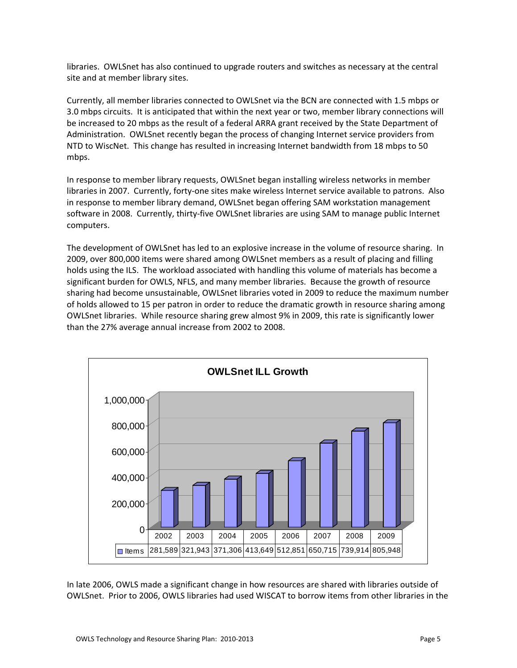libraries. OWLSnet has also continued to upgrade routers and switches as necessary at the central site and at member library sites.

Currently, all member libraries connected to OWLSnet via the BCN are connected with 1.5 mbps or 3.0 mbps circuits. It is anticipated that within the next year or two, member library connections will be increased to 20 mbps as the result of a federal ARRA grant received by the State Department of Administration. OWLSnet recently began the process of changing Internet service providers from NTD to WiscNet. This change has resulted in increasing Internet bandwidth from 18 mbps to 50 mbps.

In response to member library requests, OWLSnet began installing wireless networks in member libraries in 2007. Currently, forty‐one sites make wireless Internet service available to patrons. Also in response to member library demand, OWLSnet began offering SAM workstation management software in 2008. Currently, thirty-five OWLSnet libraries are using SAM to manage public Internet computers.

The development of OWLSnet has led to an explosive increase in the volume of resource sharing. In 2009, over 800,000 items were shared among OWLSnet members as a result of placing and filling holds using the ILS. The workload associated with handling this volume of materials has become a significant burden for OWLS, NFLS, and many member libraries. Because the growth of resource sharing had become unsustainable, OWLSnet libraries voted in 2009 to reduce the maximum number of holds allowed to 15 per patron in order to reduce the dramatic growth in resource sharing among OWLSnet libraries. While resource sharing grew almost 9% in 2009, this rate is significantly lower than the 27% average annual increase from 2002 to 2008.



In late 2006, OWLS made a significant change in how resources are shared with libraries outside of OWLSnet. Prior to 2006, OWLS libraries had used WISCAT to borrow items from other libraries in the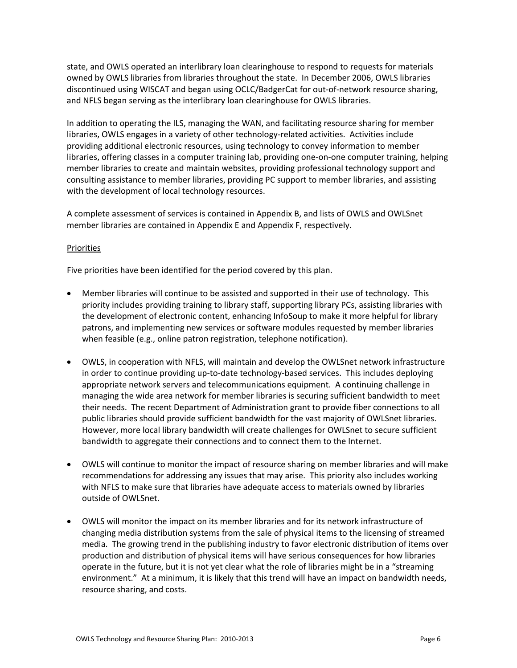state, and OWLS operated an interlibrary loan clearinghouse to respond to requests for materials owned by OWLS libraries from libraries throughout the state. In December 2006, OWLS libraries discontinued using WISCAT and began using OCLC/BadgerCat for out‐of‐network resource sharing, and NFLS began serving as the interlibrary loan clearinghouse for OWLS libraries.

In addition to operating the ILS, managing the WAN, and facilitating resource sharing for member libraries, OWLS engages in a variety of other technology-related activities. Activities include providing additional electronic resources, using technology to convey information to member libraries, offering classes in a computer training lab, providing one-on-one computer training, helping member libraries to create and maintain websites, providing professional technology support and consulting assistance to member libraries, providing PC support to member libraries, and assisting with the development of local technology resources.

A complete assessment of services is contained in Appendix B, and lists of OWLS and OWLSnet member libraries are contained in Appendix E and Appendix F, respectively.

## Priorities

Five priorities have been identified for the period covered by this plan.

- Member libraries will continue to be assisted and supported in their use of technology. This priority includes providing training to library staff, supporting library PCs, assisting libraries with the development of electronic content, enhancing InfoSoup to make it more helpful for library patrons, and implementing new services or software modules requested by member libraries when feasible (e.g., online patron registration, telephone notification).
- OWLS, in cooperation with NFLS, will maintain and develop the OWLSnet network infrastructure in order to continue providing up‐to‐date technology‐based services. This includes deploying appropriate network servers and telecommunications equipment. A continuing challenge in managing the wide area network for member libraries is securing sufficient bandwidth to meet their needs. The recent Department of Administration grant to provide fiber connections to all public libraries should provide sufficient bandwidth for the vast majority of OWLSnet libraries. However, more local library bandwidth will create challenges for OWLSnet to secure sufficient bandwidth to aggregate their connections and to connect them to the Internet.
- OWLS will continue to monitor the impact of resource sharing on member libraries and will make recommendations for addressing any issues that may arise. This priority also includes working with NFLS to make sure that libraries have adequate access to materials owned by libraries outside of OWLSnet.
- OWLS will monitor the impact on its member libraries and for its network infrastructure of changing media distribution systems from the sale of physical items to the licensing of streamed media. The growing trend in the publishing industry to favor electronic distribution of items over production and distribution of physical items will have serious consequences for how libraries operate in the future, but it is not yet clear what the role of libraries might be in a "streaming environment." At a minimum, it is likely that this trend will have an impact on bandwidth needs, resource sharing, and costs.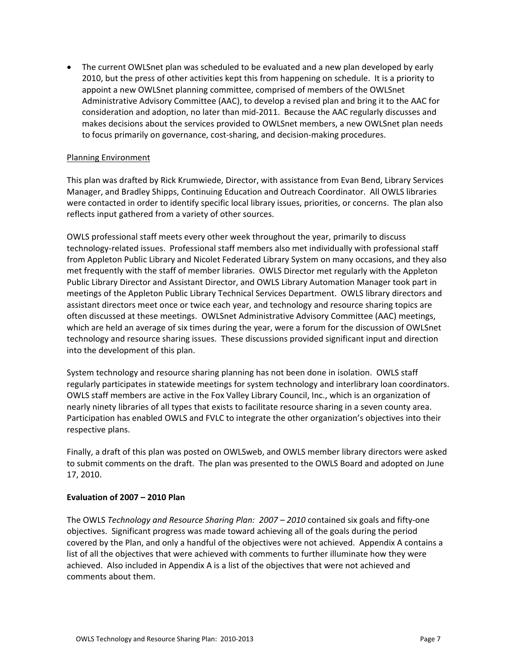• The current OWLSnet plan was scheduled to be evaluated and a new plan developed by early 2010, but the press of other activities kept this from happening on schedule. It is a priority to appoint a new OWLSnet planning committee, comprised of members of the OWLSnet Administrative Advisory Committee (AAC), to develop a revised plan and bring it to the AAC for consideration and adoption, no later than mid‐2011. Because the AAC regularly discusses and makes decisions about the services provided to OWLSnet members, a new OWLSnet plan needs to focus primarily on governance, cost‐sharing, and decision‐making procedures.

#### Planning Environment

This plan was drafted by Rick Krumwiede, Director, with assistance from Evan Bend, Library Services Manager, and Bradley Shipps, Continuing Education and Outreach Coordinator. All OWLS libraries were contacted in order to identify specific local library issues, priorities, or concerns. The plan also reflects input gathered from a variety of other sources.

OWLS professional staff meets every other week throughout the year, primarily to discuss technology‐related issues. Professional staff members also met individually with professional staff from Appleton Public Library and Nicolet Federated Library System on many occasions, and they also met frequently with the staff of member libraries. OWLS Director met regularly with the Appleton Public Library Director and Assistant Director, and OWLS Library Automation Manager took part in meetings of the Appleton Public Library Technical Services Department. OWLS library directors and assistant directors meet once or twice each year, and technology and resource sharing topics are often discussed at these meetings. OWLSnet Administrative Advisory Committee (AAC) meetings, which are held an average of six times during the year, were a forum for the discussion of OWLSnet technology and resource sharing issues. These discussions provided significant input and direction into the development of this plan.

System technology and resource sharing planning has not been done in isolation. OWLS staff regularly participates in statewide meetings for system technology and interlibrary loan coordinators. OWLS staff members are active in the Fox Valley Library Council, Inc., which is an organization of nearly ninety libraries of all types that exists to facilitate resource sharing in a seven county area. Participation has enabled OWLS and FVLC to integrate the other organization's objectives into their respective plans.

Finally, a draft of this plan was posted on OWLSweb, and OWLS member library directors were asked to submit comments on the draft. The plan was presented to the OWLS Board and adopted on June 17, 2010.

## **Evaluation of 2007 – 2010 Plan**

The OWLS *Technology and Resource Sharing Plan: 2007 – 2010* contained six goals and fifty‐one objectives. Significant progress was made toward achieving all of the goals during the period covered by the Plan, and only a handful of the objectives were not achieved. Appendix A contains a list of all the objectives that were achieved with comments to further illuminate how they were achieved. Also included in Appendix A is a list of the objectives that were not achieved and comments about them.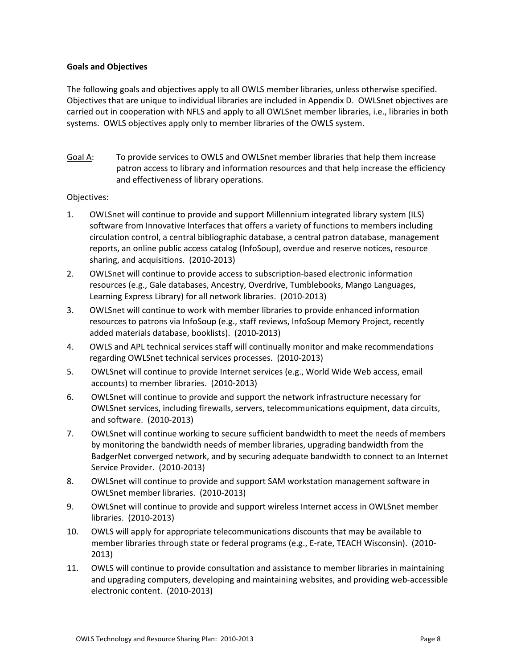### **Goals and Objectives**

The following goals and objectives apply to all OWLS member libraries, unless otherwise specified. Objectives that are unique to individual libraries are included in Appendix D. OWLSnet objectives are carried out in cooperation with NFLS and apply to all OWLSnet member libraries, i.e., libraries in both systems. OWLS objectives apply only to member libraries of the OWLS system.

Goal A: To provide services to OWLS and OWLSnet member libraries that help them increase patron access to library and information resources and that help increase the efficiency and effectiveness of library operations.

#### Objectives:

- 1. OWLSnet will continue to provide and support Millennium integrated library system (ILS) software from Innovative Interfaces that offers a variety of functions to members including circulation control, a central bibliographic database, a central patron database, management reports, an online public access catalog (InfoSoup), overdue and reserve notices, resource sharing, and acquisitions. (2010‐2013)
- 2. OWLSnet will continue to provide access to subscription-based electronic information resources (e.g., Gale databases, Ancestry, Overdrive, Tumblebooks, Mango Languages, Learning Express Library) for all network libraries. (2010‐2013)
- 3. OWLSnet will continue to work with member libraries to provide enhanced information resources to patrons via InfoSoup (e.g., staff reviews, InfoSoup Memory Project, recently added materials database, booklists). (2010‐2013)
- 4. OWLS and APL technical services staff will continually monitor and make recommendations regarding OWLSnet technical services processes. (2010‐2013)
- 5. OWLSnet will continue to provide Internet services (e.g., World Wide Web access, email accounts) to member libraries. (2010‐2013)
- 6. OWLSnet will continue to provide and support the network infrastructure necessary for OWLSnet services, including firewalls, servers, telecommunications equipment, data circuits, and software. (2010‐2013)
- 7. OWLSnet will continue working to secure sufficient bandwidth to meet the needs of members by monitoring the bandwidth needs of member libraries, upgrading bandwidth from the BadgerNet converged network, and by securing adequate bandwidth to connect to an Internet Service Provider. (2010-2013)
- 8. OWLSnet will continue to provide and support SAM workstation management software in OWLSnet member libraries. (2010‐2013)
- 9. OWLSnet will continue to provide and support wireless Internet access in OWLSnet member libraries. (2010‐2013)
- 10. OWLS will apply for appropriate telecommunications discounts that may be available to member libraries through state or federal programs (e.g., E‐rate, TEACH Wisconsin). (2010‐ 2013)
- 11. OWLS will continue to provide consultation and assistance to member libraries in maintaining and upgrading computers, developing and maintaining websites, and providing web‐accessible electronic content. (2010‐2013)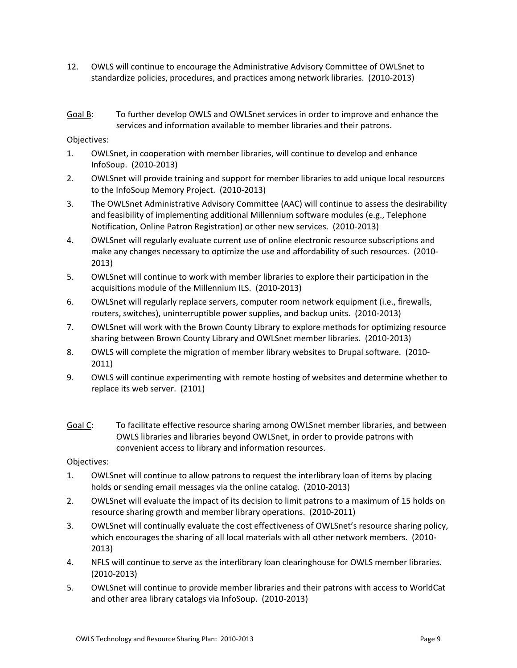- 12. OWLS will continue to encourage the Administrative Advisory Committee of OWLSnet to standardize policies, procedures, and practices among network libraries. (2010‐2013)
- Goal B: To further develop OWLS and OWLSnet services in order to improve and enhance the services and information available to member libraries and their patrons.

Objectives:

- 1. OWLSnet, in cooperation with member libraries, will continue to develop and enhance InfoSoup. (2010‐2013)
- 2. OWLSnet will provide training and support for member libraries to add unique local resources to the InfoSoup Memory Project. (2010‐2013)
- 3. The OWLSnet Administrative Advisory Committee (AAC) will continue to assess the desirability and feasibility of implementing additional Millennium software modules (e.g., Telephone Notification, Online Patron Registration) or other new services. (2010‐2013)
- 4. OWLSnet will regularly evaluate current use of online electronic resource subscriptions and make any changes necessary to optimize the use and affordability of such resources. (2010‐ 2013)
- 5. OWLSnet will continue to work with member libraries to explore their participation in the acquisitions module of the Millennium ILS. (2010‐2013)
- 6. OWLSnet will regularly replace servers, computer room network equipment (i.e., firewalls, routers, switches), uninterruptible power supplies, and backup units. (2010‐2013)
- 7. OWLSnet will work with the Brown County Library to explore methods for optimizing resource sharing between Brown County Library and OWLSnet member libraries. (2010‐2013)
- 8. OWLS will complete the migration of member library websites to Drupal software. (2010‐ 2011)
- 9. OWLS will continue experimenting with remote hosting of websites and determine whether to replace its web server. (2101)
- Goal C: To facilitate effective resource sharing among OWLSnet member libraries, and between OWLS libraries and libraries beyond OWLSnet, in order to provide patrons with convenient access to library and information resources.

Objectives:

- 1. OWLSnet will continue to allow patrons to request the interlibrary loan of items by placing holds or sending email messages via the online catalog. (2010‐2013)
- 2. OWLSnet will evaluate the impact of its decision to limit patrons to a maximum of 15 holds on resource sharing growth and member library operations. (2010‐2011)
- 3. OWLSnet will continually evaluate the cost effectiveness of OWLSnet's resource sharing policy, which encourages the sharing of all local materials with all other network members. (2010-2013)
- 4. NFLS will continue to serve as the interlibrary loan clearinghouse for OWLS member libraries. (2010‐2013)
- 5. OWLSnet will continue to provide member libraries and their patrons with access to WorldCat and other area library catalogs via InfoSoup. (2010‐2013)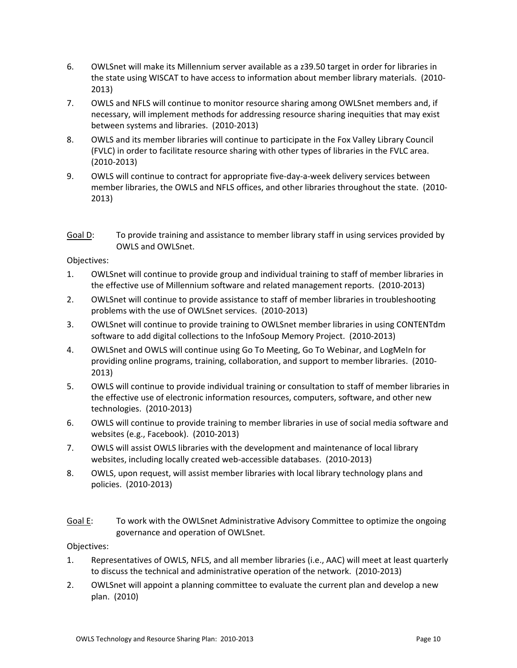- 6. OWLSnet will make its Millennium server available as a z39.50 target in order for libraries in the state using WISCAT to have access to information about member library materials. (2010‐ 2013)
- 7. OWLS and NFLS will continue to monitor resource sharing among OWLSnet members and, if necessary, will implement methods for addressing resource sharing inequities that may exist between systems and libraries. (2010‐2013)
- 8. OWLS and its member libraries will continue to participate in the Fox Valley Library Council (FVLC) in order to facilitate resource sharing with other types of libraries in the FVLC area. (2010‐2013)
- 9. OWLS will continue to contract for appropriate five-day-a-week delivery services between member libraries, the OWLS and NFLS offices, and other libraries throughout the state. (2010‐ 2013)
- Goal D: To provide training and assistance to member library staff in using services provided by OWLS and OWLSnet.

Objectives:

- 1. OWLSnet will continue to provide group and individual training to staff of member libraries in the effective use of Millennium software and related management reports. (2010‐2013)
- 2. OWLSnet will continue to provide assistance to staff of member libraries in troubleshooting problems with the use of OWLSnet services. (2010‐2013)
- 3. OWLSnet will continue to provide training to OWLSnet member libraries in using CONTENTdm software to add digital collections to the InfoSoup Memory Project. (2010‐2013)
- 4. OWLSnet and OWLS will continue using Go To Meeting, Go To Webinar, and LogMeIn for providing online programs, training, collaboration, and support to member libraries. (2010‐ 2013)
- 5. OWLS will continue to provide individual training or consultation to staff of member libraries in the effective use of electronic information resources, computers, software, and other new technologies. (2010‐2013)
- 6. OWLS will continue to provide training to member libraries in use of social media software and websites (e.g., Facebook). (2010‐2013)
- 7. OWLS will assist OWLS libraries with the development and maintenance of local library websites, including locally created web-accessible databases. (2010-2013)
- 8. OWLS, upon request, will assist member libraries with local library technology plans and policies. (2010‐2013)
- Goal E: To work with the OWLSnet Administrative Advisory Committee to optimize the ongoing governance and operation of OWLSnet.

Objectives:

- 1. Representatives of OWLS, NFLS, and all member libraries (i.e., AAC) will meet at least quarterly to discuss the technical and administrative operation of the network. (2010‐2013)
- 2. OWLSnet will appoint a planning committee to evaluate the current plan and develop a new plan. (2010)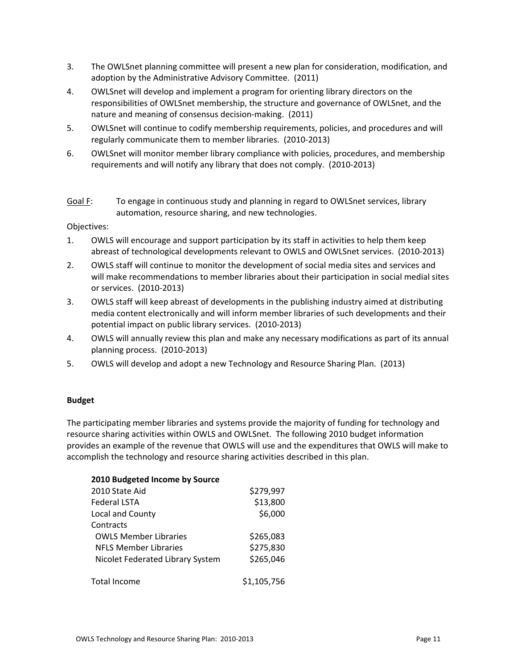- 3. The OWLSnet planning committee will present a new plan for consideration, modification, and adoption by the Administrative Advisory Committee. (2011)
- 4. OWLSnet will develop and implement a program for orienting library directors on the responsibilities of OWLSnet membership, the structure and governance of OWLSnet, and the nature and meaning of consensus decision‐making. (2011)
- 5. OWLSnet will continue to codify membership requirements, policies, and procedures and will regularly communicate them to member libraries. (2010‐2013)
- 6. OWLSnet will monitor member library compliance with policies, procedures, and membership requirements and will notify any library that does not comply. (2010‐2013)
- Goal F: To engage in continuous study and planning in regard to OWLSnet services, library automation, resource sharing, and new technologies.

Objectives:

- 1. OWLS will encourage and support participation by its staff in activities to help them keep abreast of technological developments relevant to OWLS and OWLSnet services. (2010‐2013)
- 2. OWLS staff will continue to monitor the development of social media sites and services and will make recommendations to member libraries about their participation in social medial sites or services. (2010‐2013)
- 3. OWLS staff will keep abreast of developments in the publishing industry aimed at distributing media content electronically and will inform member libraries of such developments and their potential impact on public library services. (2010‐2013)
- 4. OWLS will annually review this plan and make any necessary modifications as part of its annual planning process. (2010‐2013)
- 5. OWLS will develop and adopt a new Technology and Resource Sharing Plan. (2013)

## **Budget**

The participating member libraries and systems provide the majority of funding for technology and resource sharing activities within OWLS and OWLSnet. The following 2010 budget information provides an example of the revenue that OWLS will use and the expenditures that OWLS will make to accomplish the technology and resource sharing activities described in this plan.

| 2010 Budgeted Income by Source   |             |
|----------------------------------|-------------|
| 2010 State Aid                   | \$279,997   |
| <b>Federal LSTA</b>              | \$13,800    |
| Local and County                 | \$6,000     |
| Contracts                        |             |
| <b>OWLS Member Libraries</b>     | \$265,083   |
| <b>NELS Member Libraries</b>     | \$275,830   |
| Nicolet Federated Library System | \$265,046   |
| <b>Total Income</b>              | \$1,105,756 |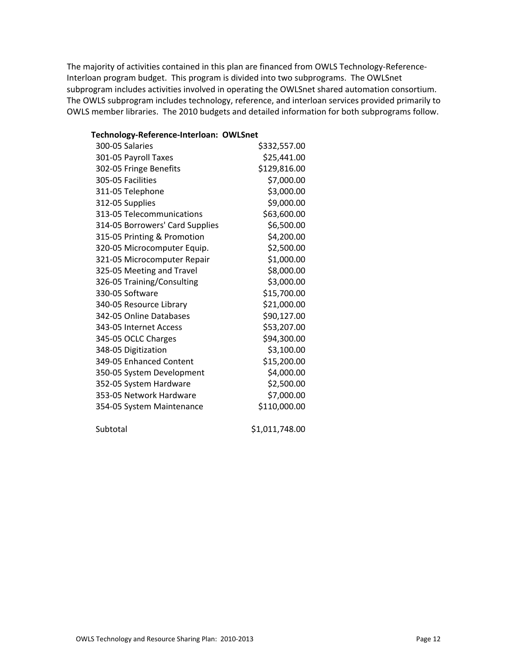The majority of activities contained in this plan are financed from OWLS Technology-Reference-Interloan program budget. This program is divided into two subprograms. The OWLSnet subprogram includes activities involved in operating the OWLSnet shared automation consortium. The OWLS subprogram includes technology, reference, and interloan services provided primarily to OWLS member libraries. The 2010 budgets and detailed information for both subprograms follow.

# **Technology‐Reference‐Interloan: OWLSnet** 300‐05 Salaries \$332,557.00 301‐05 Payroll Taxes \$25,441.00 302‐05 Fringe Benefits \$129,816.00 305‐05 Facilities \$7,000.00 311-05 Telephone \$3,000.00 312‐05 Supplies \$9,000.00 313-05 Telecommunications \$63,600.00 314-05 Borrowers' Card Supplies \$6,500.00 315‐05 Printing & Promotion \$4,200.00 320‐05 Microcomputer Equip. \$2,500.00 321‐05 Microcomputer Repair \$1,000.00 325-05 Meeting and Travel \$8,000.00 326-05 Training/Consulting \$3,000.00 330-05 Software \$15,700.00 340-05 Resource Library \$21,000.00 342‐05 Online Databases \$90,127.00 343‐05 Internet Access \$53,207.00 345-05 OCLC Charges \$94,300.00 348-05 Digitization \$3,100.00 349-05 Enhanced Content \$15,200.00 350‐05 System Development \$4,000.00 352-05 System Hardware \$2,500.00 353‐05 Network Hardware \$7,000.00 354‐05 System Maintenance \$110,000.00 Subtotal \$1,011,748.00

OWLS Technology and Resource Sharing Plan: 2010‐2013 Page 12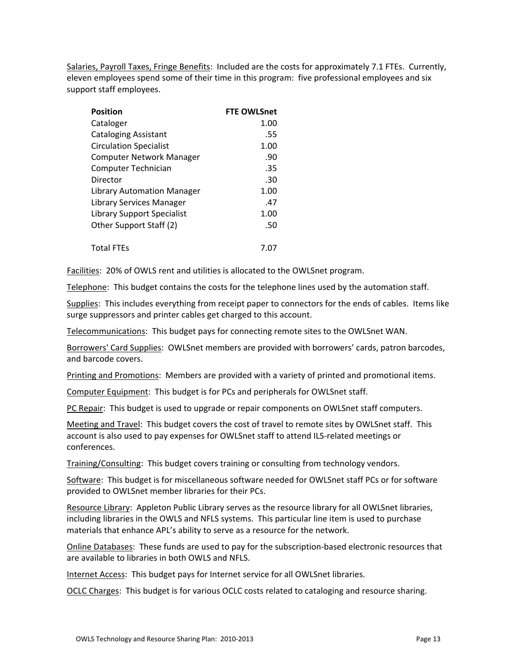Salaries, Payroll Taxes, Fringe Benefits: Included are the costs for approximately 7.1 FTEs. Currently, eleven employees spend some of their time in this program: five professional employees and six support staff employees.

| <b>Position</b>                 | <b>FTE OWLSnet</b> |
|---------------------------------|--------------------|
| Cataloger                       | 1.00               |
| <b>Cataloging Assistant</b>     | .55                |
| <b>Circulation Specialist</b>   | 1.00               |
| <b>Computer Network Manager</b> | .90                |
| Computer Technician             | .35                |
| Director                        | .30                |
| Library Automation Manager      | 1.00               |
| Library Services Manager        | .47                |
| Library Support Specialist      | 1.00               |
| Other Support Staff (2)         | .50                |
|                                 |                    |
| <b>Total FTEs</b>               | 7.0                |

Facilities: 20% of OWLS rent and utilities is allocated to the OWLSnet program.

Telephone: This budget contains the costs for the telephone lines used by the automation staff.

Supplies: This includes everything from receipt paper to connectors for the ends of cables. Items like surge suppressors and printer cables get charged to this account.

Telecommunications: This budget pays for connecting remote sites to the OWLSnet WAN.

Borrowers' Card Supplies: OWLSnet members are provided with borrowers' cards, patron barcodes, and barcode covers.

Printing and Promotions: Members are provided with a variety of printed and promotional items.

Computer Equipment: This budget is for PCs and peripherals for OWLSnet staff.

PC Repair: This budget is used to upgrade or repair components on OWLSnet staff computers.

Meeting and Travel: This budget covers the cost of travel to remote sites by OWLSnet staff. This account is also used to pay expenses for OWLSnet staff to attend ILS‐related meetings or conferences.

Training/Consulting: This budget covers training or consulting from technology vendors.

Software: This budget is for miscellaneous software needed for OWLSnet staff PCs or for software provided to OWLSnet member libraries for their PCs.

Resource Library: Appleton Public Library serves as the resource library for all OWLSnet libraries, including libraries in the OWLS and NFLS systems. This particular line item is used to purchase materials that enhance APL's ability to serve as a resource for the network.

Online Databases: These funds are used to pay for the subscription‐based electronic resources that are available to libraries in both OWLS and NFLS.

Internet Access: This budget pays for Internet service for all OWLSnet libraries.

OCLC Charges: This budget is for various OCLC costs related to cataloging and resource sharing.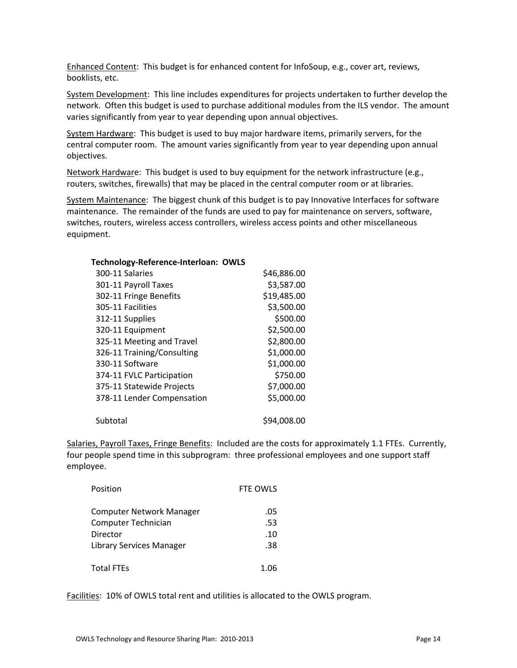Enhanced Content: This budget is for enhanced content for InfoSoup, e.g., cover art, reviews, booklists, etc.

System Development: This line includes expenditures for projects undertaken to further develop the network. Often this budget is used to purchase additional modules from the ILS vendor. The amount varies significantly from year to year depending upon annual objectives.

System Hardware: This budget is used to buy major hardware items, primarily servers, for the central computer room. The amount varies significantly from year to year depending upon annual objectives.

Network Hardware: This budget is used to buy equipment for the network infrastructure (e.g., routers, switches, firewalls) that may be placed in the central computer room or at libraries.

System Maintenance: The biggest chunk of this budget is to pay Innovative Interfaces for software maintenance. The remainder of the funds are used to pay for maintenance on servers, software, switches, routers, wireless access controllers, wireless access points and other miscellaneous equipment.

| Technology-Reference-Interloan: OWLS |             |
|--------------------------------------|-------------|
| 300-11 Salaries                      | \$46,886.00 |
| 301-11 Payroll Taxes                 | \$3,587.00  |
| 302-11 Fringe Benefits               | \$19,485.00 |
| 305-11 Facilities                    | \$3,500.00  |
| 312-11 Supplies                      | \$500.00    |
| 320-11 Equipment                     | \$2,500.00  |
| 325-11 Meeting and Travel            | \$2,800.00  |
| 326-11 Training/Consulting           | \$1,000.00  |
| 330-11 Software                      | \$1,000.00  |
| 374-11 FVLC Participation            | \$750.00    |
| 375-11 Statewide Projects            | \$7,000.00  |
| 378-11 Lender Compensation           | \$5,000.00  |
| Subtotal                             | \$94,008.00 |

Salaries, Payroll Taxes, Fringe Benefits: Included are the costs for approximately 1.1 FTEs. Currently, four people spend time in this subprogram: three professional employees and one support staff employee.

| Position                 | FTE OWLS |
|--------------------------|----------|
| Computer Network Manager | .05      |
| Computer Technician      | .53      |
| Director                 | .10      |
| Library Services Manager | .38      |
| <b>Total FTEs</b>        | 1.06     |

Facilities: 10% of OWLS total rent and utilities is allocated to the OWLS program.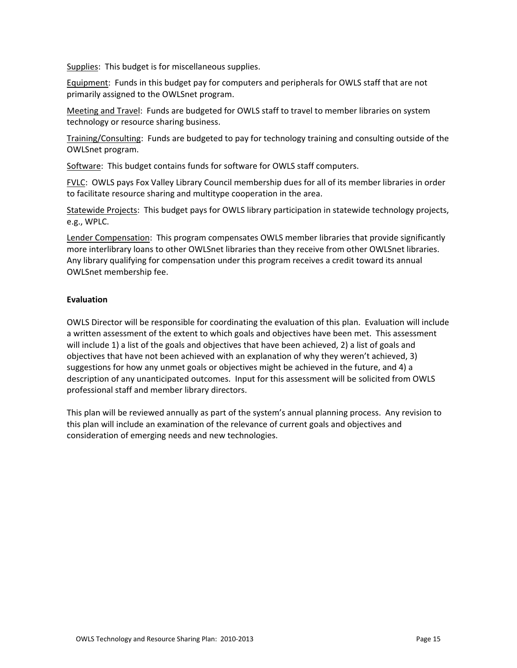Supplies: This budget is for miscellaneous supplies.

Equipment: Funds in this budget pay for computers and peripherals for OWLS staff that are not primarily assigned to the OWLSnet program.

Meeting and Travel: Funds are budgeted for OWLS staff to travel to member libraries on system technology or resource sharing business.

Training/Consulting: Funds are budgeted to pay for technology training and consulting outside of the OWLSnet program.

Software: This budget contains funds for software for OWLS staff computers.

FVLC: OWLS pays Fox Valley Library Council membership dues for all of its member libraries in order to facilitate resource sharing and multitype cooperation in the area.

Statewide Projects: This budget pays for OWLS library participation in statewide technology projects, e.g., WPLC.

Lender Compensation: This program compensates OWLS member libraries that provide significantly more interlibrary loans to other OWLSnet libraries than they receive from other OWLSnet libraries. Any library qualifying for compensation under this program receives a credit toward its annual OWLSnet membership fee.

## **Evaluation**

OWLS Director will be responsible for coordinating the evaluation of this plan. Evaluation will include a written assessment of the extent to which goals and objectives have been met. This assessment will include 1) a list of the goals and objectives that have been achieved, 2) a list of goals and objectives that have not been achieved with an explanation of why they weren't achieved, 3) suggestions for how any unmet goals or objectives might be achieved in the future, and 4) a description of any unanticipated outcomes. Input for this assessment will be solicited from OWLS professional staff and member library directors.

This plan will be reviewed annually as part of the system's annual planning process. Any revision to this plan will include an examination of the relevance of current goals and objectives and consideration of emerging needs and new technologies.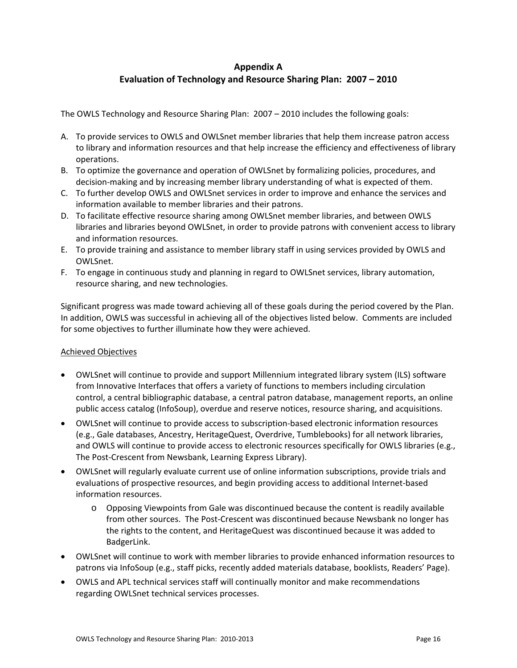# **Appendix A Evaluation of Technology and Resource Sharing Plan: 2007 – 2010**

The OWLS Technology and Resource Sharing Plan: 2007 – 2010 includes the following goals:

- A. To provide services to OWLS and OWLSnet member libraries that help them increase patron access to library and information resources and that help increase the efficiency and effectiveness of library operations.
- B. To optimize the governance and operation of OWLSnet by formalizing policies, procedures, and decision‐making and by increasing member library understanding of what is expected of them.
- C. To further develop OWLS and OWLSnet services in order to improve and enhance the services and information available to member libraries and their patrons.
- D. To facilitate effective resource sharing among OWLSnet member libraries, and between OWLS libraries and libraries beyond OWLSnet, in order to provide patrons with convenient access to library and information resources.
- E. To provide training and assistance to member library staff in using services provided by OWLS and OWLSnet.
- F. To engage in continuous study and planning in regard to OWLSnet services, library automation, resource sharing, and new technologies.

Significant progress was made toward achieving all of these goals during the period covered by the Plan. In addition, OWLS was successful in achieving all of the objectives listed below. Comments are included for some objectives to further illuminate how they were achieved.

## Achieved Objectives

- OWLSnet will continue to provide and support Millennium integrated library system (ILS) software from Innovative Interfaces that offers a variety of functions to members including circulation control, a central bibliographic database, a central patron database, management reports, an online public access catalog (InfoSoup), overdue and reserve notices, resource sharing, and acquisitions.
- OWLSnet will continue to provide access to subscription‐based electronic information resources (e.g., Gale databases, Ancestry, HeritageQuest, Overdrive, Tumblebooks) for all network libraries, and OWLS will continue to provide access to electronic resources specifically for OWLS libraries (e.g., The Post-Crescent from Newsbank, Learning Express Library).
- OWLSnet will regularly evaluate current use of online information subscriptions, provide trials and evaluations of prospective resources, and begin providing access to additional Internet‐based information resources.
	- o Opposing Viewpoints from Gale was discontinued because the content is readily available from other sources. The Post-Crescent was discontinued because Newsbank no longer has the rights to the content, and HeritageQuest was discontinued because it was added to BadgerLink.
- OWLSnet will continue to work with member libraries to provide enhanced information resources to patrons via InfoSoup (e.g., staff picks, recently added materials database, booklists, Readers' Page).
- OWLS and APL technical services staff will continually monitor and make recommendations regarding OWLSnet technical services processes.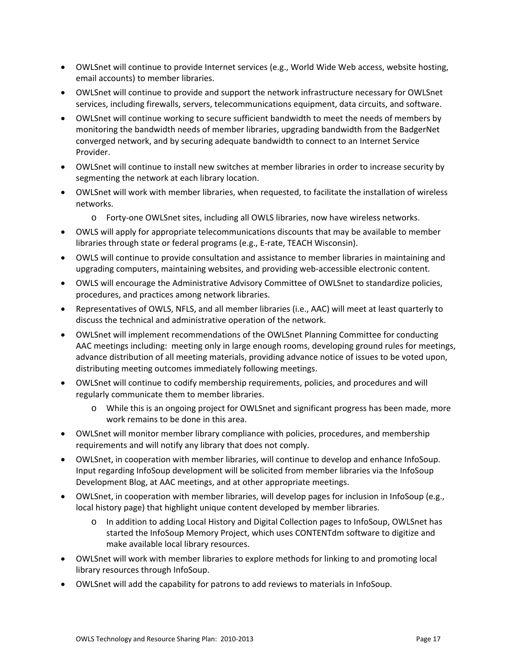- OWLSnet will continue to provide Internet services (e.g., World Wide Web access, website hosting, email accounts) to member libraries.
- OWLSnet will continue to provide and support the network infrastructure necessary for OWLSnet services, including firewalls, servers, telecommunications equipment, data circuits, and software.
- OWLSnet will continue working to secure sufficient bandwidth to meet the needs of members by monitoring the bandwidth needs of member libraries, upgrading bandwidth from the BadgerNet converged network, and by securing adequate bandwidth to connect to an Internet Service Provider.
- OWLSnet will continue to install new switches at member libraries in order to increase security by segmenting the network at each library location.
- OWLSnet will work with member libraries, when requested, to facilitate the installation of wireless networks.
	- o Forty‐one OWLSnet sites, including all OWLS libraries, now have wireless networks.
- OWLS will apply for appropriate telecommunications discounts that may be available to member libraries through state or federal programs (e.g., E‐rate, TEACH Wisconsin).
- OWLS will continue to provide consultation and assistance to member libraries in maintaining and upgrading computers, maintaining websites, and providing web‐accessible electronic content.
- OWLS will encourage the Administrative Advisory Committee of OWLSnet to standardize policies, procedures, and practices among network libraries.
- Representatives of OWLS, NFLS, and all member libraries (i.e., AAC) will meet at least quarterly to discuss the technical and administrative operation of the network.
- OWLSnet will implement recommendations of the OWLSnet Planning Committee for conducting AAC meetings including: meeting only in large enough rooms, developing ground rules for meetings, advance distribution of all meeting materials, providing advance notice of issues to be voted upon, distributing meeting outcomes immediately following meetings.
- OWLSnet will continue to codify membership requirements, policies, and procedures and will regularly communicate them to member libraries.
	- o While this is an ongoing project for OWLSnet and significant progress has been made, more work remains to be done in this area.
- OWLSnet will monitor member library compliance with policies, procedures, and membership requirements and will notify any library that does not comply.
- OWLSnet, in cooperation with member libraries, will continue to develop and enhance InfoSoup. Input regarding InfoSoup development will be solicited from member libraries via the InfoSoup Development Blog, at AAC meetings, and at other appropriate meetings.
- OWLSnet, in cooperation with member libraries, will develop pages for inclusion in InfoSoup (e.g., local history page) that highlight unique content developed by member libraries.
	- o In addition to adding Local History and Digital Collection pages to InfoSoup, OWLSnet has started the InfoSoup Memory Project, which uses CONTENTdm software to digitize and make available local library resources.
- OWLSnet will work with member libraries to explore methods for linking to and promoting local library resources through InfoSoup.
- OWLSnet will add the capability for patrons to add reviews to materials in InfoSoup.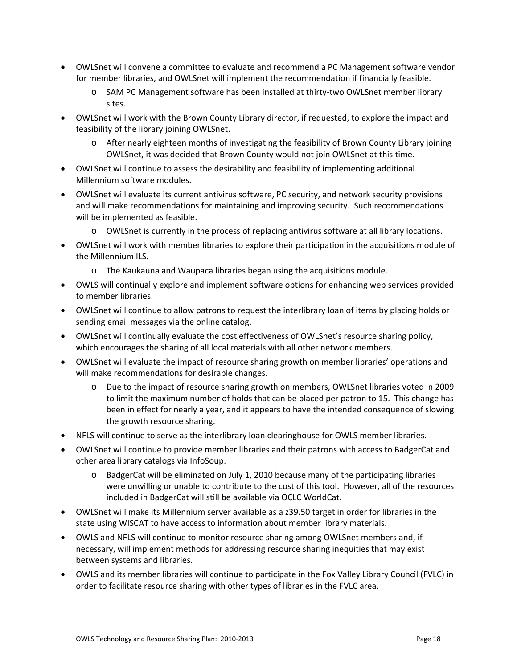- OWLSnet will convene a committee to evaluate and recommend a PC Management software vendor for member libraries, and OWLSnet will implement the recommendation if financially feasible.
	- o SAM PC Management software has been installed at thirty‐two OWLSnet member library sites.
- OWLSnet will work with the Brown County Library director, if requested, to explore the impact and feasibility of the library joining OWLSnet.
	- o After nearly eighteen months of investigating the feasibility of Brown County Library joining OWLSnet, it was decided that Brown County would not join OWLSnet at this time.
- OWLSnet will continue to assess the desirability and feasibility of implementing additional Millennium software modules.
- OWLSnet will evaluate its current antivirus software, PC security, and network security provisions and will make recommendations for maintaining and improving security. Such recommendations will be implemented as feasible.
	- o OWLSnet is currently in the process of replacing antivirus software at all library locations.
- OWLSnet will work with member libraries to explore their participation in the acquisitions module of the Millennium ILS.
	- o The Kaukauna and Waupaca libraries began using the acquisitions module.
- OWLS will continually explore and implement software options for enhancing web services provided to member libraries.
- OWLSnet will continue to allow patrons to request the interlibrary loan of items by placing holds or sending email messages via the online catalog.
- OWLSnet will continually evaluate the cost effectiveness of OWLSnet's resource sharing policy, which encourages the sharing of all local materials with all other network members.
- OWLSnet will evaluate the impact of resource sharing growth on member libraries' operations and will make recommendations for desirable changes.
	- o Due to the impact of resource sharing growth on members, OWLSnet libraries voted in 2009 to limit the maximum number of holds that can be placed per patron to 15. This change has been in effect for nearly a year, and it appears to have the intended consequence of slowing the growth resource sharing.
- NFLS will continue to serve as the interlibrary loan clearinghouse for OWLS member libraries.
- OWLSnet will continue to provide member libraries and their patrons with access to BadgerCat and other area library catalogs via InfoSoup.
	- o BadgerCat will be eliminated on July 1, 2010 because many of the participating libraries were unwilling or unable to contribute to the cost of this tool. However, all of the resources included in BadgerCat will still be available via OCLC WorldCat.
- OWLSnet will make its Millennium server available as a z39.50 target in order for libraries in the state using WISCAT to have access to information about member library materials.
- OWLS and NFLS will continue to monitor resource sharing among OWLSnet members and, if necessary, will implement methods for addressing resource sharing inequities that may exist between systems and libraries.
- OWLS and its member libraries will continue to participate in the Fox Valley Library Council (FVLC) in order to facilitate resource sharing with other types of libraries in the FVLC area.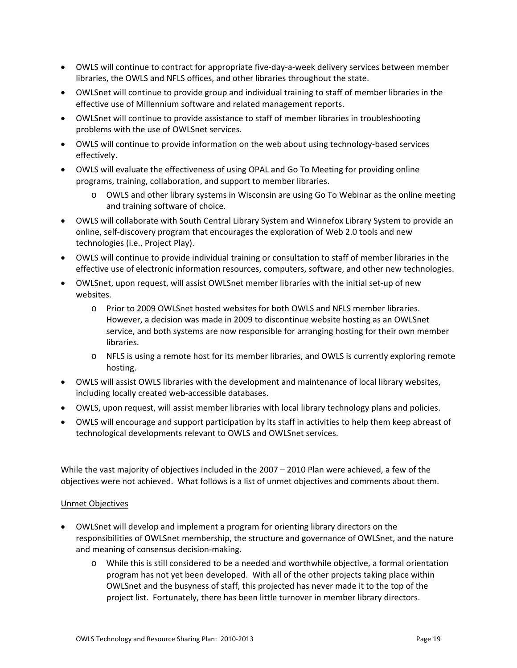- OWLS will continue to contract for appropriate five‐day‐a‐week delivery services between member libraries, the OWLS and NFLS offices, and other libraries throughout the state.
- OWLSnet will continue to provide group and individual training to staff of member libraries in the effective use of Millennium software and related management reports.
- OWLSnet will continue to provide assistance to staff of member libraries in troubleshooting problems with the use of OWLSnet services.
- OWLS will continue to provide information on the web about using technology‐based services effectively.
- OWLS will evaluate the effectiveness of using OPAL and Go To Meeting for providing online programs, training, collaboration, and support to member libraries.
	- o OWLS and other library systems in Wisconsin are using Go To Webinar as the online meeting and training software of choice.
- OWLS will collaborate with South Central Library System and Winnefox Library System to provide an online, self‐discovery program that encourages the exploration of Web 2.0 tools and new technologies (i.e., Project Play).
- OWLS will continue to provide individual training or consultation to staff of member libraries in the effective use of electronic information resources, computers, software, and other new technologies.
- OWLSnet, upon request, will assist OWLSnet member libraries with the initial set‐up of new websites.
	- o Prior to 2009 OWLSnet hosted websites for both OWLS and NFLS member libraries. However, a decision was made in 2009 to discontinue website hosting as an OWLSnet service, and both systems are now responsible for arranging hosting for their own member libraries.
	- o NFLS is using a remote host for its member libraries, and OWLS is currently exploring remote hosting.
- OWLS will assist OWLS libraries with the development and maintenance of local library websites, including locally created web‐accessible databases.
- OWLS, upon request, will assist member libraries with local library technology plans and policies.
- OWLS will encourage and support participation by its staff in activities to help them keep abreast of technological developments relevant to OWLS and OWLSnet services.

While the vast majority of objectives included in the 2007 – 2010 Plan were achieved, a few of the objectives were not achieved. What follows is a list of unmet objectives and comments about them.

## Unmet Objectives

- OWLSnet will develop and implement a program for orienting library directors on the responsibilities of OWLSnet membership, the structure and governance of OWLSnet, and the nature and meaning of consensus decision‐making.
	- o While this is still considered to be a needed and worthwhile objective, a formal orientation program has not yet been developed. With all of the other projects taking place within OWLSnet and the busyness of staff, this projected has never made it to the top of the project list. Fortunately, there has been little turnover in member library directors.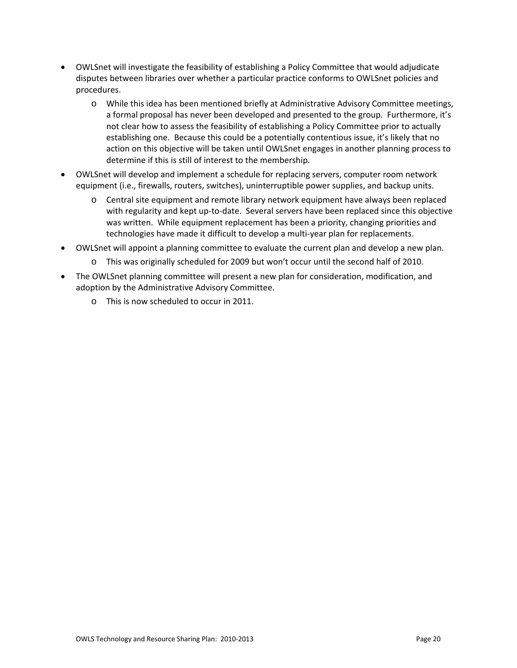- OWLSnet will investigate the feasibility of establishing a Policy Committee that would adjudicate disputes between libraries over whether a particular practice conforms to OWLSnet policies and procedures.
	- o While this idea has been mentioned briefly at Administrative Advisory Committee meetings, a formal proposal has never been developed and presented to the group. Furthermore, it's not clear how to assess the feasibility of establishing a Policy Committee prior to actually establishing one. Because this could be a potentially contentious issue, it's likely that no action on this objective will be taken until OWLSnet engages in another planning process to determine if this is still of interest to the membership.
- OWLSnet will develop and implement a schedule for replacing servers, computer room network equipment (i.e., firewalls, routers, switches), uninterruptible power supplies, and backup units.
	- o Central site equipment and remote library network equipment have always been replaced with regularity and kept up-to-date. Several servers have been replaced since this objective was written. While equipment replacement has been a priority, changing priorities and technologies have made it difficult to develop a multi‐year plan for replacements.
- OWLSnet will appoint a planning committee to evaluate the current plan and develop a new plan.
	- o This was originally scheduled for 2009 but won't occur until the second half of 2010.
- The OWLSnet planning committee will present a new plan for consideration, modification, and adoption by the Administrative Advisory Committee.
	- o This is now scheduled to occur in 2011.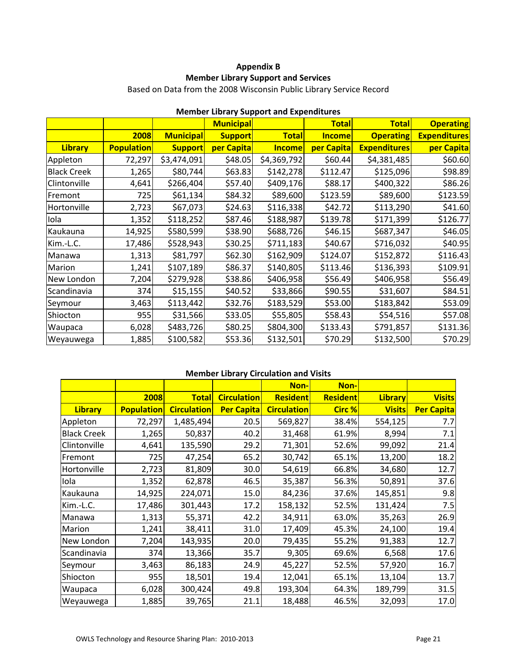# **Appendix B Member Library Support and Services**

Based on Data from the 2008 Wisconsin Public Library Service Record

|                    |                   |                  | <b>Municipal</b> | MCMDCL LIDIUI y JUPPOLI UNU EXPENDITUITO | <b>Total</b>  | <b>Total</b>        | <b>Operating</b>    |
|--------------------|-------------------|------------------|------------------|------------------------------------------|---------------|---------------------|---------------------|
|                    | 2008              | <b>Municipal</b> | <b>Support</b>   | <b>Total</b>                             | <b>Income</b> | <b>Operating</b>    | <b>Expenditures</b> |
| <b>Library</b>     | <b>Population</b> | <b>Support</b>   | per Capita       | <b>Income</b>                            | per Capita    | <b>Expenditures</b> | per Capita          |
| Appleton           | 72,297            | \$3,474,091      | \$48.05          | \$4,369,792                              | \$60.44]      | \$4,381,485         | \$60.60             |
| <b>Black Creek</b> | 1,265             | \$80,744         | \$63.83          | \$142,278                                | \$112.47      | \$125,096           | \$98.89             |
| Clintonville       | 4,641             | \$266,404        | \$57.40          | \$409,176                                | \$88.17       | \$400,322           | \$86.26             |
| Fremont            | 725               | \$61,134         | \$84.32          | \$89,600                                 | \$123.59      | \$89,600            | \$123.59            |
| Hortonville        | 2,723             | \$67,073         | \$24.63          | \$116,338                                | \$42.72       | \$113,290           | \$41.60             |
| Iola               | 1,352             | \$118,252        | \$87.46          | \$188,987                                | \$139.78      | \$171,399           | \$126.77            |
| Kaukauna           | 14,925            | \$580,599        | \$38.90          | \$688,726                                | \$46.15       | \$687,347           | \$46.05             |
| Kim.-L.C.          | 17,486            | \$528,943        | \$30.25          | \$711,183                                | \$40.67       | \$716,032           | \$40.95             |
| Manawa             | 1,313             | \$81,797         | \$62.30          | \$162,909                                | \$124.07      | \$152,872           | \$116.43            |
| Marion             | 1,241             | \$107,189        | \$86.37          | \$140,805                                | \$113.46      | \$136,393           | \$109.91            |
| New London         | 7,204             | \$279,928        | \$38.86          | \$406,958                                | \$56.49       | \$406,958           | \$56.49             |
| Scandinavia        | 374               | \$15,155         | \$40.52          | \$33,866                                 | \$90.55       | \$31,607            | \$84.51             |
| Seymour            | 3,463             | \$113,442        | \$32.76          | \$183,529                                | \$53.00       | \$183,842           | \$53.09             |
| Shiocton           | 955               | \$31,566         | \$33.05          | \$55,805                                 | \$58.43       | \$54,516            | \$57.08             |
| Waupaca            | 6,028             | \$483,726        | \$80.25          | \$804,300                                | \$133.43      | \$791,857           | \$131.36            |
| Weyauwega          | 1,885             | \$100,582        | \$53.36          | \$132,501                                | \$70.29       | \$132,500           | \$70.29             |

# **Member Library Support and Expenditures**

# **Member Library Circulation and Visits**

|                    |                   |                    |                    | Non-               | Non-            |                |                   |
|--------------------|-------------------|--------------------|--------------------|--------------------|-----------------|----------------|-------------------|
|                    | 2008              | <b>Total</b>       | <b>Circulation</b> | <b>Resident</b>    | <b>Resident</b> | <b>Library</b> | <b>Visits</b>     |
| <b>Library</b>     | <b>Population</b> | <b>Circulation</b> | <b>Per Capita</b>  | <b>Circulation</b> | <b>Circ %</b>   | <b>Visits</b>  | <b>Per Capita</b> |
| Appleton           | 72,297            | 1,485,494          | 20.5               | 569,827            | 38.4%           | 554,125        | 7.7               |
| <b>Black Creek</b> | 1,265             | 50,837             | 40.2               | 31,468             | 61.9%           | 8,994          | 7.1               |
| Clintonville       | 4,641             | 135,590            | 29.2               | 71,301             | 52.6%           | 99,092         | 21.4              |
| Fremont            | 725               | 47,254             | 65.2               | 30,742             | 65.1%           | 13,200         | 18.2              |
| Hortonville        | 2,723             | 81,809             | 30.0               | 54,619             | 66.8%           | 34,680         | 12.7              |
| Iola               | 1,352             | 62,878             | 46.5               | 35,387             | 56.3%           | 50,891         | 37.6              |
| Kaukauna           | 14,925            | 224,071            | 15.0               | 84,236             | 37.6%           | 145,851        | 9.8               |
| Kim.-L.C.          | 17,486            | 301,443            | 17.2               | 158,132            | 52.5%           | 131,424        | 7.5               |
| Manawa             | 1,313             | 55,371             | 42.2               | 34,911             | 63.0%           | 35,263         | 26.9              |
| Marion             | 1,241             | 38,411             | 31.0               | 17,409             | 45.3%           | 24,100         | 19.4              |
| New London         | 7,204             | 143,935            | 20.0               | 79,435             | 55.2%           | 91,383         | 12.7              |
| Scandinavia        | 374               | 13,366             | 35.7               | 9,305              | 69.6%           | 6,568          | 17.6              |
| Seymour            | 3,463             | 86,183             | 24.9               | 45,227             | 52.5%           | 57,920         | 16.7              |
| Shiocton           | 955               | 18,501             | 19.4               | 12,041             | 65.1%           | 13,104         | 13.7              |
| Waupaca            | 6,028             | 300,424            | 49.8               | 193,304            | 64.3%           | 189,799        | 31.5              |
| Weyauwega          | 1,885             | 39,765             | 21.1               | 18,488             | 46.5%           | 32,093         | 17.0              |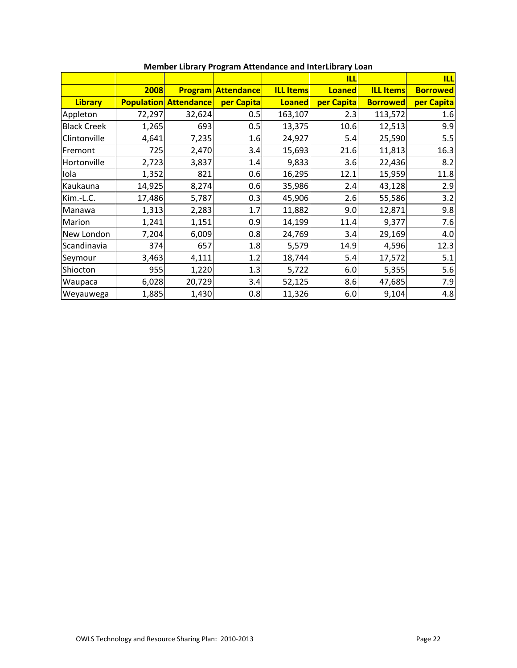|                    |        |                              |                           |                  | <b>ILL</b>    |                  | <b>ILL</b>      |
|--------------------|--------|------------------------------|---------------------------|------------------|---------------|------------------|-----------------|
|                    | 2008   |                              | <b>Program Attendance</b> | <b>ILL Items</b> | <b>Loaned</b> | <b>ILL Items</b> | <b>Borrowed</b> |
| <b>Library</b>     |        | <b>Population Attendance</b> | per Capita                | <b>Loaned</b>    | per Capita    | <b>Borrowed</b>  | per Capita      |
| Appleton           | 72,297 | 32,624                       | 0.5                       | 163,107          | 2.3           | 113,572          | 1.6             |
| <b>Black Creek</b> | 1,265  | 693                          | 0.5                       | 13,375           | 10.6          | 12,513           | 9.9             |
| Clintonville       | 4,641  | 7,235                        | 1.6                       | 24,927           | 5.4           | 25,590           | 5.5             |
| Fremont            | 725    | 2,470                        | 3.4                       | 15,693           | 21.6          | 11,813           | 16.3            |
| Hortonville        | 2,723  | 3,837                        | 1.4                       | 9,833            | 3.6           | 22,436           | 8.2             |
| Iola               | 1,352  | 821                          | 0.6                       | 16,295           | 12.1          | 15,959           | 11.8            |
| Kaukauna           | 14,925 | 8,274                        | 0.6                       | 35,986           | 2.4           | 43,128           | 2.9             |
| Kim.-L.C.          | 17,486 | 5,787                        | 0.3                       | 45,906           | 2.6           | 55,586           | 3.2             |
| Manawa             | 1,313  | 2,283                        | 1.7                       | 11,882           | 9.0           | 12,871           | 9.8             |
| Marion             | 1,241  | 1,151                        | 0.9                       | 14,199           | 11.4          | 9,377            | 7.6             |
| New London         | 7,204  | 6,009                        | 0.8                       | 24,769           | 3.4           | 29,169           | 4.0             |
| Scandinavia        | 374    | 657                          | 1.8                       | 5,579            | 14.9          | 4,596            | 12.3            |
| Seymour            | 3,463  | 4,111                        | 1.2                       | 18,744           | 5.4           | 17,572           | 5.1             |
| Shiocton           | 955    | 1,220                        | 1.3                       | 5,722            | 6.0           | 5,355            | 5.6             |
| Waupaca            | 6,028  | 20,729                       | 3.4                       | 52,125           | 8.6           | 47,685           | 7.9             |
| Weyauwega          | 1,885  | 1,430                        | 0.8                       | 11,326           | 6.0           | 9,104            | 4.8             |

# **Member Library Program Attendance and InterLibrary Loan**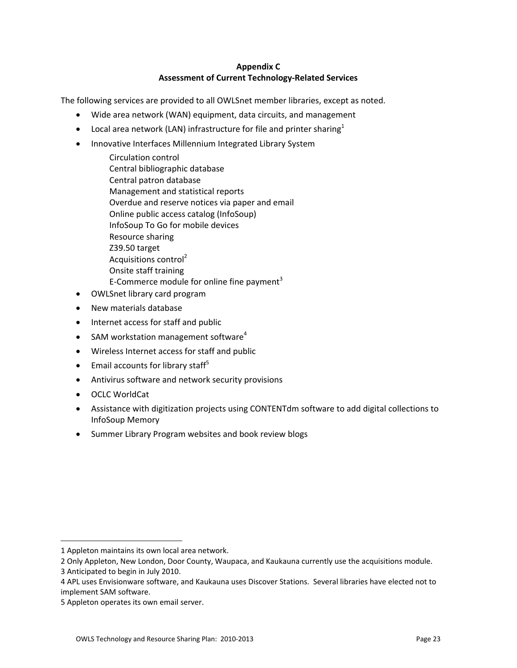## **Appendix C Assessment of Current Technology‐Related Services**

The following services are provided to all OWLSnet member libraries, except as noted.

- Wide area network (WAN) equipment, data circuits, and management
- Local area network (LAN) infrastructure for file and printer sharing<sup>1</sup>
- Innovative Interfaces Millennium Integrated Library System
	- Circulation control Central bibliographic database Central patron database Management and statistical reports Overdue and reserve notices via paper and email Online public access catalog (InfoSoup) InfoSoup To Go for mobile devices Resource sharing Z39.50 target Acquisitions control<sup>2</sup> Onsite staff training E-Commerce module for online fine payment<sup>3</sup>
- OWLSnet library card program
- New materials database
- Internet access for staff and public
- SAM workstation management software<sup>4</sup>
- Wireless Internet access for staff and public
- $\bullet$  Email accounts for library staff<sup>5</sup>
- Antivirus software and network security provisions
- OCLC WorldCat
- Assistance with digitization projects using CONTENTdm software to add digital collections to InfoSoup Memory
- Summer Library Program websites and book review blogs

 $\overline{a}$ 

<sup>1</sup> Appleton maintains its own local area network.

<sup>2</sup> Only Appleton, New London, Door County, Waupaca, and Kaukauna currently use the acquisitions module.

<sup>3</sup> Anticipated to begin in July 2010.

<sup>4</sup> APL uses Envisionware software, and Kaukauna uses Discover Stations. Several libraries have elected not to implement SAM software.

<sup>5</sup> Appleton operates its own email server.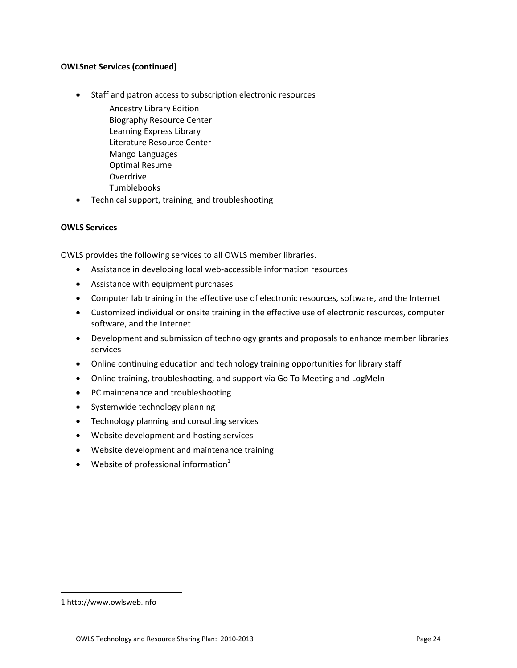### **OWLSnet Services (continued)**

- Staff and patron access to subscription electronic resources
	- Ancestry Library Edition Biography Resource Center Learning Express Library Literature Resource Center Mango Languages Optimal Resume Overdrive Tumblebooks
- Technical support, training, and troubleshooting

#### **OWLS Services**

OWLS provides the following services to all OWLS member libraries.

- Assistance in developing local web‐accessible information resources
- Assistance with equipment purchases
- Computer lab training in the effective use of electronic resources, software, and the Internet
- Customized individual or onsite training in the effective use of electronic resources, computer software, and the Internet
- Development and submission of technology grants and proposals to enhance member libraries services
- Online continuing education and technology training opportunities for library staff
- Online training, troubleshooting, and support via Go To Meeting and LogMeIn
- PC maintenance and troubleshooting
- Systemwide technology planning
- Technology planning and consulting services
- Website development and hosting services
- Website development and maintenance training
- Website of professional information $1$

 $\overline{a}$ 

<sup>1</sup> http://www.owlsweb.info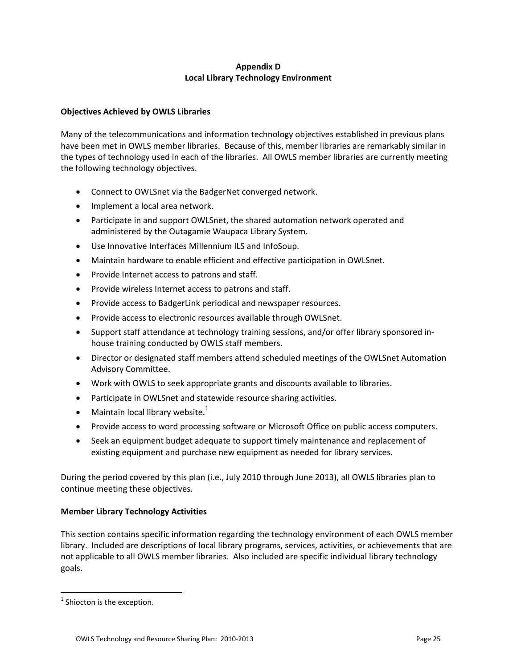## **Appendix D Local Library Technology Environment**

## **Objectives Achieved by OWLS Libraries**

Many of the telecommunications and information technology objectives established in previous plans have been met in OWLS member libraries. Because of this, member libraries are remarkably similar in the types of technology used in each of the libraries. All OWLS member libraries are currently meeting the following technology objectives.

- Connect to OWLSnet via the BadgerNet converged network.
- Implement a local area network.
- Participate in and support OWLSnet, the shared automation network operated and administered by the Outagamie Waupaca Library System.
- Use Innovative Interfaces Millennium ILS and InfoSoup.
- Maintain hardware to enable efficient and effective participation in OWLSnet.
- Provide Internet access to patrons and staff.
- Provide wireless Internet access to patrons and staff.
- Provide access to BadgerLink periodical and newspaper resources.
- Provide access to electronic resources available through OWLSnet.
- Support staff attendance at technology training sessions, and/or offer library sponsored in‐ house training conducted by OWLS staff members.
- Director or designated staff members attend scheduled meetings of the OWLSnet Automation Advisory Committee.
- Work with OWLS to seek appropriate grants and discounts available to libraries.
- Participate in OWLSnet and statewide resource sharing activities.
- Maintain local library website. $1$
- Provide access to word processing software or Microsoft Office on public access computers.
- Seek an equipment budget adequate to support timely maintenance and replacement of existing equipment and purchase new equipment as needed for library services.

During the period covered by this plan (i.e., July 2010 through June 2013), all OWLS libraries plan to continue meeting these objectives.

## **Member Library Technology Activities**

This section contains specific information regarding the technology environment of each OWLS member library. Included are descriptions of local library programs, services, activities, or achievements that are not applicable to all OWLS member libraries. Also included are specific individual library technology goals.

 $\overline{a}$ 

 $1$  Shiocton is the exception.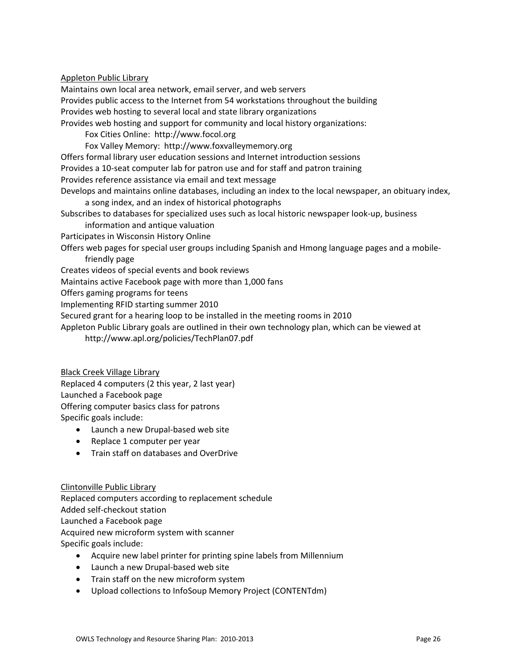### Appleton Public Library

Maintains own local area network, email server, and web servers Provides public access to the Internet from 54 workstations throughout the building Provides web hosting to several local and state library organizations Provides web hosting and support for community and local history organizations: Fox Cities Online: http://www.focol.org Fox Valley Memory: http://www.foxvalleymemory.org Offers formal library user education sessions and Internet introduction sessions Provides a 10‐seat computer lab for patron use and for staff and patron training Provides reference assistance via email and text message Develops and maintains online databases, including an index to the local newspaper, an obituary index, a song index, and an index of historical photographs Subscribes to databases for specialized uses such as local historic newspaper look‐up, business information and antique valuation Participates in Wisconsin History Online Offers web pages for special user groups including Spanish and Hmong language pages and a mobile‐ friendly page Creates videos of special events and book reviews Maintains active Facebook page with more than 1,000 fans

Offers gaming programs for teens

Implementing RFID starting summer 2010

Secured grant for a hearing loop to be installed in the meeting rooms in 2010

Appleton Public Library goals are outlined in their own technology plan, which can be viewed at http://www.apl.org/policies/TechPlan07.pdf

Black Creek Village Library

Replaced 4 computers (2 this year, 2 last year)

Launched a Facebook page

Offering computer basics class for patrons

Specific goals include:

- Launch a new Drupal‐based web site
- Replace 1 computer per year
- Train staff on databases and OverDrive

Clintonville Public Library

Replaced computers according to replacement schedule Added self‐checkout station Launched a Facebook page Acquired new microform system with scanner Specific goals include:

- Acquire new label printer for printing spine labels from Millennium
- Launch a new Drupal‐based web site
- Train staff on the new microform system
- Upload collections to InfoSoup Memory Project (CONTENTdm)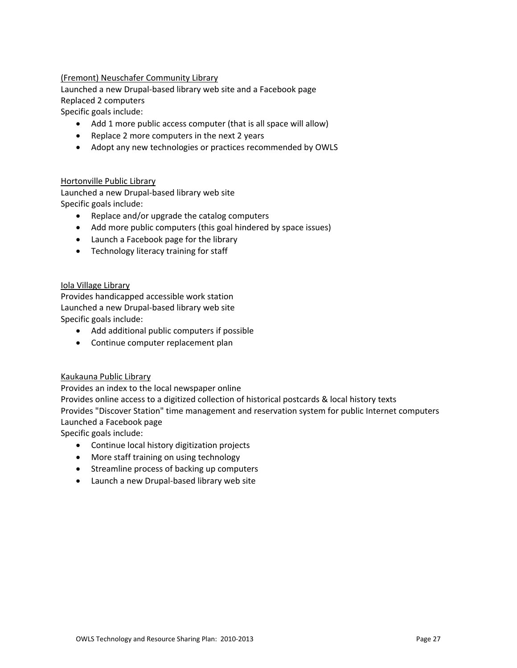## (Fremont) Neuschafer Community Library

Launched a new Drupal‐based library web site and a Facebook page Replaced 2 computers

Specific goals include:

- Add 1 more public access computer (that is all space will allow)
- Replace 2 more computers in the next 2 years
- Adopt any new technologies or practices recommended by OWLS

#### Hortonville Public Library

Launched a new Drupal‐based library web site Specific goals include:

- Replace and/or upgrade the catalog computers
- Add more public computers (this goal hindered by space issues)
- Launch a Facebook page for the library
- Technology literacy training for staff

#### Iola Village Library

Provides handicapped accessible work station Launched a new Drupal‐based library web site Specific goals include:

- Add additional public computers if possible
- Continue computer replacement plan

## Kaukauna Public Library

Provides an index to the local newspaper online

Provides online access to a digitized collection of historical postcards & local history texts Provides "Discover Station" time management and reservation system for public Internet computers Launched a Facebook page

Specific goals include:

- Continue local history digitization projects
- More staff training on using technology
- Streamline process of backing up computers
- Launch a new Drupal‐based library web site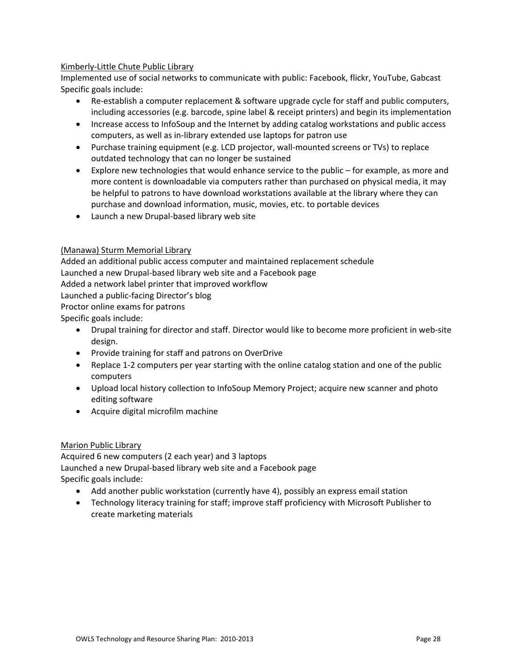## Kimberly‐Little Chute Public Library

Implemented use of social networks to communicate with public: Facebook, flickr, YouTube, Gabcast Specific goals include:

- Re‐establish a computer replacement & software upgrade cycle for staff and public computers, including accessories (e.g. barcode, spine label & receipt printers) and begin its implementation
- Increase access to InfoSoup and the Internet by adding catalog workstations and public access computers, as well as in‐library extended use laptops for patron use
- Purchase training equipment (e.g. LCD projector, wall-mounted screens or TVs) to replace outdated technology that can no longer be sustained
- Explore new technologies that would enhance service to the public for example, as more and more content is downloadable via computers rather than purchased on physical media, it may be helpful to patrons to have download workstations available at the library where they can purchase and download information, music, movies, etc. to portable devices
- Launch a new Drupal‐based library web site

## (Manawa) Sturm Memorial Library

Added an additional public access computer and maintained replacement schedule Launched a new Drupal‐based library web site and a Facebook page Added a network label printer that improved workflow Launched a public‐facing Director's blog Proctor online exams for patrons

Specific goals include:

- Drupal training for director and staff. Director would like to become more proficient in web-site design.
- Provide training for staff and patrons on OverDrive
- Replace 1-2 computers per year starting with the online catalog station and one of the public computers
- Upload local history collection to InfoSoup Memory Project; acquire new scanner and photo editing software
- Acquire digital microfilm machine

## Marion Public Library

Acquired 6 new computers (2 each year) and 3 laptops Launched a new Drupal‐based library web site and a Facebook page Specific goals include:

- Add another public workstation (currently have 4), possibly an express email station
- Technology literacy training for staff; improve staff proficiency with Microsoft Publisher to create marketing materials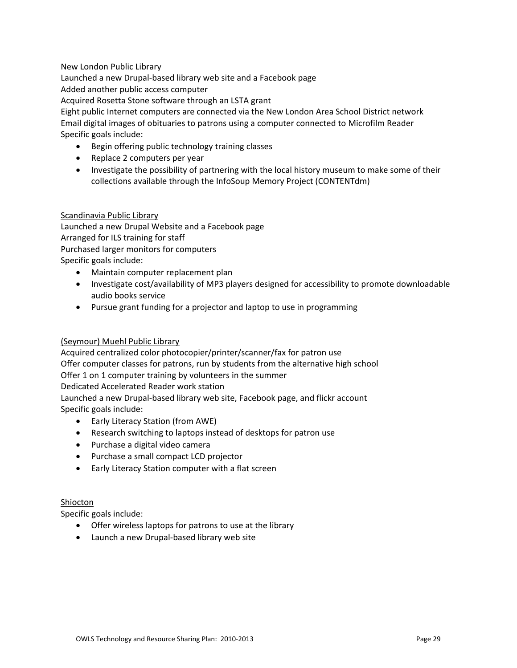## New London Public Library

Launched a new Drupal‐based library web site and a Facebook page Added another public access computer Acquired Rosetta Stone software through an LSTA grant Eight public Internet computers are connected via the New London Area School District network

Email digital images of obituaries to patrons using a computer connected to Microfilm Reader Specific goals include:

- Begin offering public technology training classes
- Replace 2 computers per year
- Investigate the possibility of partnering with the local history museum to make some of their collections available through the InfoSoup Memory Project (CONTENTdm)

#### Scandinavia Public Library

Launched a new Drupal Website and a Facebook page Arranged for ILS training for staff Purchased larger monitors for computers Specific goals include:

- Maintain computer replacement plan
- Investigate cost/availability of MP3 players designed for accessibility to promote downloadable audio books service
- Pursue grant funding for a projector and laptop to use in programming

## (Seymour) Muehl Public Library

Acquired centralized color photocopier/printer/scanner/fax for patron use Offer computer classes for patrons, run by students from the alternative high school Offer 1 on 1 computer training by volunteers in the summer Dedicated Accelerated Reader work station

Launched a new Drupal‐based library web site, Facebook page, and flickr account Specific goals include:

- Early Literacy Station (from AWE)
- Research switching to laptops instead of desktops for patron use
- Purchase a digital video camera
- Purchase a small compact LCD projector
- Early Literacy Station computer with a flat screen

## Shiocton

Specific goals include:

- Offer wireless laptops for patrons to use at the library
- Launch a new Drupal‐based library web site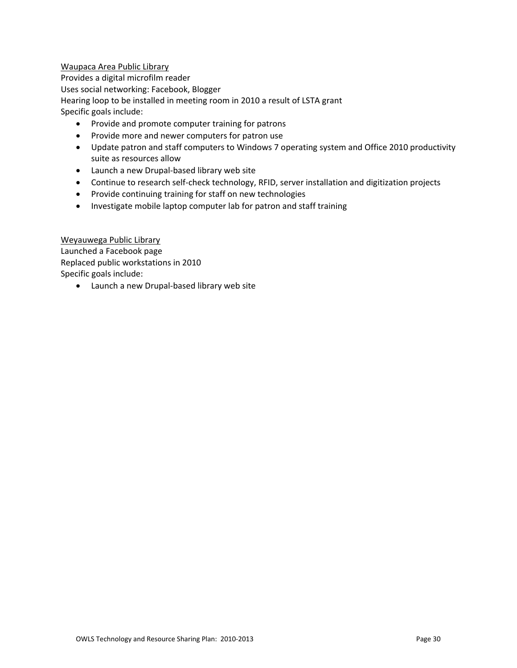## Waupaca Area Public Library

Provides a digital microfilm reader Uses social networking: Facebook, Blogger Hearing loop to be installed in meeting room in 2010 a result of LSTA grant Specific goals include:

- Provide and promote computer training for patrons
- Provide more and newer computers for patron use
- Update patron and staff computers to Windows 7 operating system and Office 2010 productivity suite as resources allow
- Launch a new Drupal‐based library web site
- Continue to research self-check technology, RFID, server installation and digitization projects
- Provide continuing training for staff on new technologies
- Investigate mobile laptop computer lab for patron and staff training

Weyauwega Public Library Launched a Facebook page Replaced public workstations in 2010 Specific goals include:

• Launch a new Drupal‐based library web site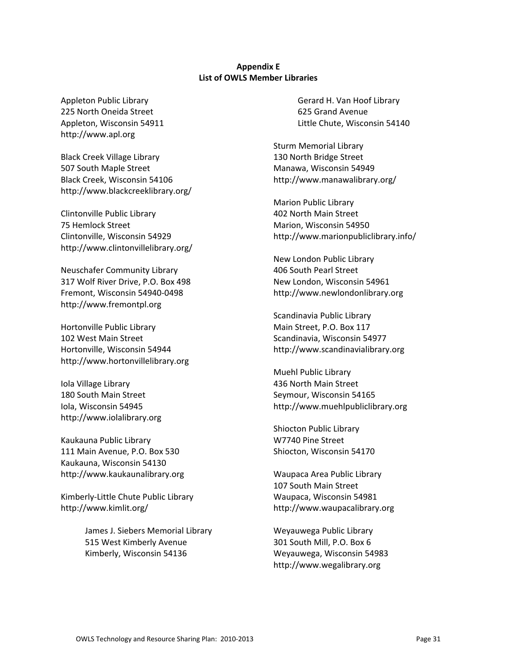#### **Appendix E List of OWLS Member Libraries**

Appleton Public Library 225 North Oneida Street Appleton, Wisconsin 54911 http://www.apl.org

Black Creek Village Library 507 South Maple Street Black Creek, Wisconsin 54106 http://www.blackcreeklibrary.org/

Clintonville Public Library 75 Hemlock Street Clintonville, Wisconsin 54929 http://www.clintonvillelibrary.org/

Neuschafer Community Library 317 Wolf River Drive, P.O. Box 498 Fremont, Wisconsin 54940‐0498 http://www.fremontpl.org

Hortonville Public Library 102 West Main Street Hortonville, Wisconsin 54944 http://www.hortonvillelibrary.org

Iola Village Library 180 South Main Street Iola, Wisconsin 54945 http://www.iolalibrary.org

Kaukauna Public Library 111 Main Avenue, P.O. Box 530 Kaukauna, Wisconsin 54130 http://www.kaukaunalibrary.org

Kimberly‐Little Chute Public Library http://www.kimlit.org/

> James J. Siebers Memorial Library 515 West Kimberly Avenue Kimberly, Wisconsin 54136

Gerard H. Van Hoof Library 625 Grand Avenue Little Chute, Wisconsin 54140

Sturm Memorial Library 130 North Bridge Street Manawa, Wisconsin 54949 http://www.manawalibrary.org/

Marion Public Library 402 North Main Street Marion, Wisconsin 54950 http://www.marionpubliclibrary.info/

New London Public Library 406 South Pearl Street New London, Wisconsin 54961 http://www.newlondonlibrary.org

Scandinavia Public Library Main Street, P.O. Box 117 Scandinavia, Wisconsin 54977 http://www.scandinavialibrary.org

Muehl Public Library 436 North Main Street Seymour, Wisconsin 54165 http://www.muehlpubliclibrary.org

Shiocton Public Library W7740 Pine Street Shiocton, Wisconsin 54170

Waupaca Area Public Library 107 South Main Street Waupaca, Wisconsin 54981 http://www.waupacalibrary.org

Weyauwega Public Library 301 South Mill, P.O. Box 6 Weyauwega, Wisconsin 54983 http://www.wegalibrary.org